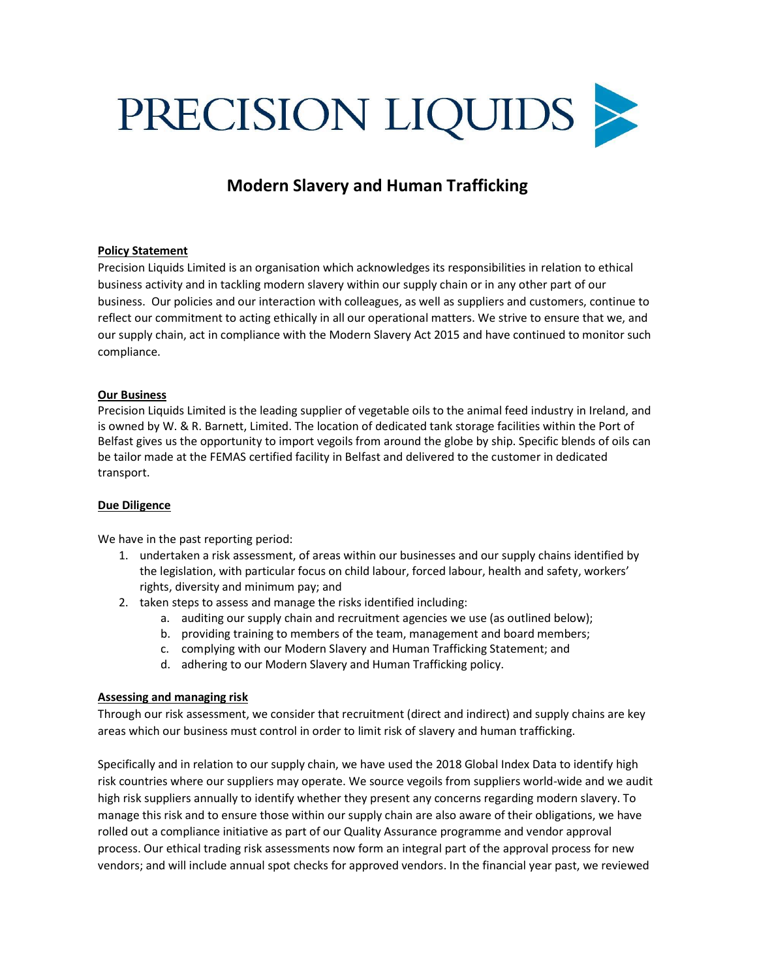

# Modern Slavery and Human Trafficking

# Policy Statement

Precision Liquids Limited is an organisation which acknowledges its responsibilities in relation to ethical business activity and in tackling modern slavery within our supply chain or in any other part of our business. Our policies and our interaction with colleagues, as well as suppliers and customers, continue to reflect our commitment to acting ethically in all our operational matters. We strive to ensure that we, and our supply chain, act in compliance with the Modern Slavery Act 2015 and have continued to monitor such compliance.

# Our Business

Precision Liquids Limited is the leading supplier of vegetable oils to the animal feed industry in Ireland, and is owned by W. & R. Barnett, Limited. The location of dedicated tank storage facilities within the Port of Belfast gives us the opportunity to import vegoils from around the globe by ship. Specific blends of oils can be tailor made at the FEMAS certified facility in Belfast and delivered to the customer in dedicated transport.

## Due Diligence

We have in the past reporting period:

- 1. undertaken a risk assessment, of areas within our businesses and our supply chains identified by the legislation, with particular focus on child labour, forced labour, health and safety, workers' rights, diversity and minimum pay; and
- 2. taken steps to assess and manage the risks identified including:
	- a. auditing our supply chain and recruitment agencies we use (as outlined below);
	- b. providing training to members of the team, management and board members;
	- c. complying with our Modern Slavery and Human Trafficking Statement; and
	- d. adhering to our Modern Slavery and Human Trafficking policy.

## Assessing and managing risk

Through our risk assessment, we consider that recruitment (direct and indirect) and supply chains are key areas which our business must control in order to limit risk of slavery and human trafficking.

Specifically and in relation to our supply chain, we have used the 2018 Global Index Data to identify high risk countries where our suppliers may operate. We source vegoils from suppliers world-wide and we audit high risk suppliers annually to identify whether they present any concerns regarding modern slavery. To manage this risk and to ensure those within our supply chain are also aware of their obligations, we have rolled out a compliance initiative as part of our Quality Assurance programme and vendor approval process. Our ethical trading risk assessments now form an integral part of the approval process for new vendors; and will include annual spot checks for approved vendors. In the financial year past, we reviewed